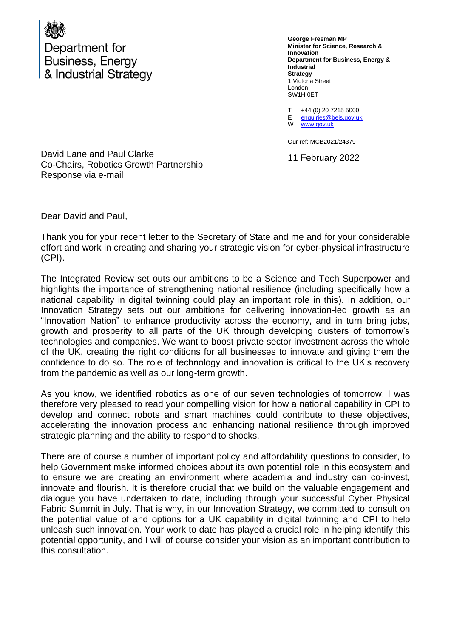

**George Freeman MP Minister for Science, Research & Innovation Department for Business, Energy & Industrial Strategy** 1 Victoria Street London SW1H 0ET

T E enquiries@beis.gov.uk +44 (0) 20 7215 5000

W [www.gov.uk](http://www.gov.uk/)

Our ref: MCB2021/24379

11 February 2022

David Lane and Paul Clarke Co-Chairs, Robotics Growth Partnership Response via e-mail

Dear David and Paul,

Thank you for your recent letter to the Secretary of State and me and for your considerable effort and work in creating and sharing your strategic vision for cyber-physical infrastructure (CPI).

The Integrated Review set outs our ambitions to be a Science and Tech Superpower and highlights the importance of strengthening national resilience (including specifically how a national capability in digital twinning could play an important role in this). In addition, our Innovation Strategy sets out our ambitions for delivering innovation-led growth as an "Innovation Nation" to enhance productivity across the economy, and in turn bring jobs, growth and prosperity to all parts of the UK through developing clusters of tomorrow's technologies and companies. We want to boost private sector investment across the whole of the UK, creating the right conditions for all businesses to innovate and giving them the confidence to do so. The role of technology and innovation is critical to the UK's recovery from the pandemic as well as our long-term growth.

As you know, we identified robotics as one of our seven technologies of tomorrow. I was therefore very pleased to read your compelling vision for how a national capability in CPI to develop and connect robots and smart machines could contribute to these objectives, accelerating the innovation process and enhancing national resilience through improved strategic planning and the ability to respond to shocks.

There are of course a number of important policy and affordability questions to consider, to help Government make informed choices about its own potential role in this ecosystem and to ensure we are creating an environment where academia and industry can co-invest, innovate and flourish. It is therefore crucial that we build on the valuable engagement and dialogue you have undertaken to date, including through your successful Cyber Physical Fabric Summit in July. That is why, in our Innovation Strategy, we committed to consult on the potential value of and options for a UK capability in digital twinning and CPI to help unleash such innovation. Your work to date has played a crucial role in helping identify this potential opportunity, and I will of course consider your vision as an important contribution to this consultation.